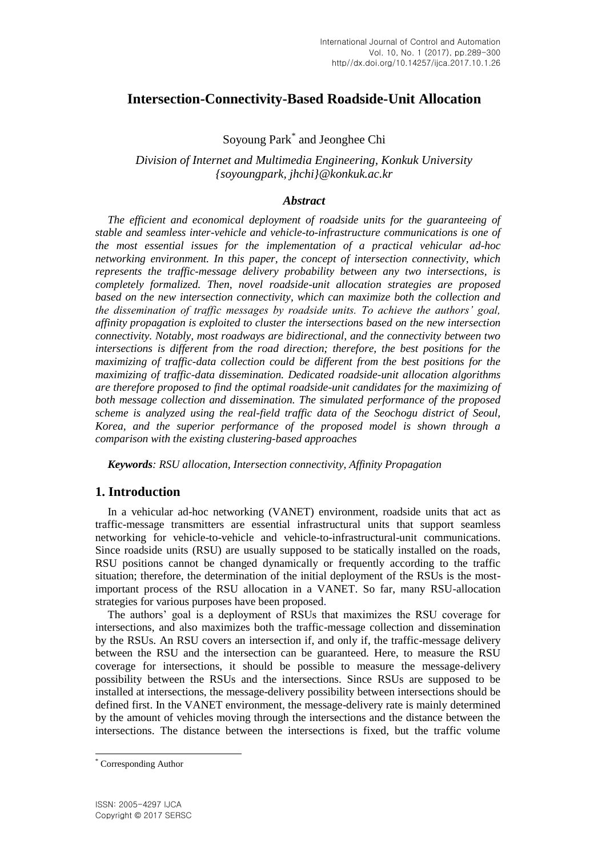# **Intersection-Connectivity-Based Roadside-Unit Allocation**

Soyoung Park\* and Jeonghee Chi

*Division of Internet and Multimedia Engineering, Konkuk University {soyoungpark, jhchi}@konkuk.ac.kr*

## *Abstract*

*The efficient and economical deployment of roadside units for the guaranteeing of stable and seamless inter-vehicle and vehicle-to-infrastructure communications is one of the most essential issues for the implementation of a practical vehicular ad-hoc networking environment. In this paper, the concept of intersection connectivity, which represents the traffic-message delivery probability between any two intersections, is completely formalized. Then, novel roadside-unit allocation strategies are proposed based on the new intersection connectivity, which can maximize both the collection and the dissemination of traffic messages by roadside units. To achieve the authors' goal, affinity propagation is exploited to cluster the intersections based on the new intersection connectivity. Notably, most roadways are bidirectional, and the connectivity between two intersections is different from the road direction; therefore, the best positions for the maximizing of traffic-data collection could be different from the best positions for the maximizing of traffic-data dissemination. Dedicated roadside-unit allocation algorithms are therefore proposed to find the optimal roadside-unit candidates for the maximizing of both message collection and dissemination. The simulated performance of the proposed scheme is analyzed using the real-field traffic data of the Seochogu district of Seoul, Korea, and the superior performance of the proposed model is shown through a comparison with the existing clustering-based approaches*

*Keywords: RSU allocation, Intersection connectivity, Affinity Propagation*

# **1. Introduction**

In a vehicular ad-hoc networking (VANET) environment, roadside units that act as traffic-message transmitters are essential infrastructural units that support seamless networking for vehicle-to-vehicle and vehicle-to-infrastructural-unit communications. Since roadside units (RSU) are usually supposed to be statically installed on the roads, RSU positions cannot be changed dynamically or frequently according to the traffic situation; therefore, the determination of the initial deployment of the RSUs is the mostimportant process of the RSU allocation in a VANET. So far, many RSU-allocation strategies for various purposes have been proposed.

The authors' goal is a deployment of RSUs that maximizes the RSU coverage for intersections, and also maximizes both the traffic-message collection and dissemination by the RSUs. An RSU covers an intersection if, and only if, the traffic-message delivery between the RSU and the intersection can be guaranteed. Here, to measure the RSU coverage for intersections, it should be possible to measure the message-delivery possibility between the RSUs and the intersections. Since RSUs are supposed to be installed at intersections, the message-delivery possibility between intersections should be defined first. In the VANET environment, the message-delivery rate is mainly determined by the amount of vehicles moving through the intersections and the distance between the intersections. The distance between the intersections is fixed, but the traffic volume

l

<sup>\*</sup> Corresponding Author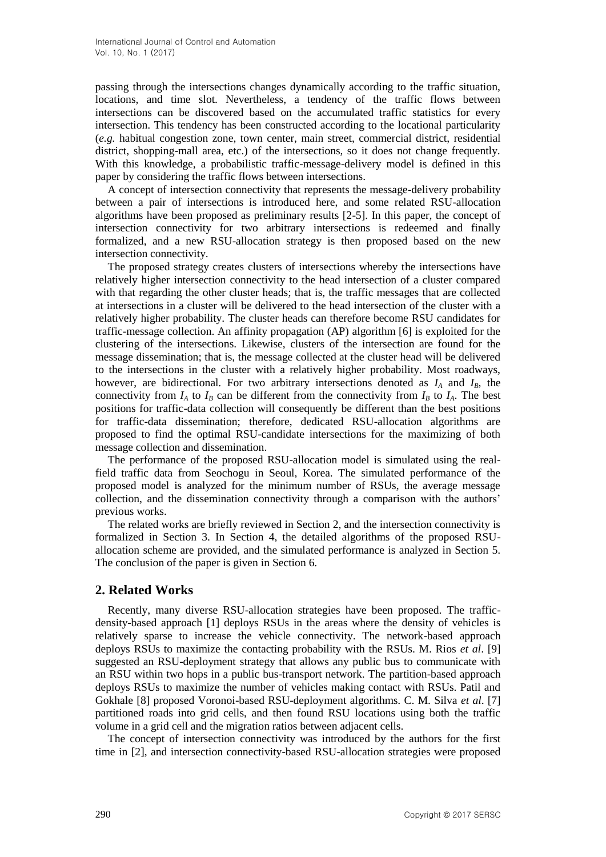passing through the intersections changes dynamically according to the traffic situation, locations, and time slot. Nevertheless, a tendency of the traffic flows between intersections can be discovered based on the accumulated traffic statistics for every intersection. This tendency has been constructed according to the locational particularity (*e.g.* habitual congestion zone, town center, main street, commercial district, residential district, shopping-mall area, etc.) of the intersections, so it does not change frequently. With this knowledge, a probabilistic traffic-message-delivery model is defined in this paper by considering the traffic flows between intersections.

A concept of intersection connectivity that represents the message-delivery probability between a pair of intersections is introduced here, and some related RSU-allocation algorithms have been proposed as preliminary results [2-5]. In this paper, the concept of intersection connectivity for two arbitrary intersections is redeemed and finally formalized, and a new RSU-allocation strategy is then proposed based on the new intersection connectivity.

The proposed strategy creates clusters of intersections whereby the intersections have relatively higher intersection connectivity to the head intersection of a cluster compared with that regarding the other cluster heads; that is, the traffic messages that are collected at intersections in a cluster will be delivered to the head intersection of the cluster with a relatively higher probability. The cluster heads can therefore become RSU candidates for traffic-message collection. An affinity propagation (AP) algorithm [6] is exploited for the clustering of the intersections. Likewise, clusters of the intersection are found for the message dissemination; that is, the message collected at the cluster head will be delivered to the intersections in the cluster with a relatively higher probability. Most roadways, however, are bidirectional. For two arbitrary intersections denoted as  $I_A$  and  $I_B$ , the connectivity from  $I_A$  to  $I_B$  can be different from the connectivity from  $I_B$  to  $I_A$ . The best positions for traffic-data collection will consequently be different than the best positions for traffic-data dissemination; therefore, dedicated RSU-allocation algorithms are proposed to find the optimal RSU-candidate intersections for the maximizing of both message collection and dissemination.

The performance of the proposed RSU-allocation model is simulated using the realfield traffic data from Seochogu in Seoul, Korea. The simulated performance of the proposed model is analyzed for the minimum number of RSUs, the average message collection, and the dissemination connectivity through a comparison with the authors' previous works.

The related works are briefly reviewed in Section 2, and the intersection connectivity is formalized in Section 3. In Section 4, the detailed algorithms of the proposed RSUallocation scheme are provided, and the simulated performance is analyzed in Section 5. The conclusion of the paper is given in Section 6.

# **2. Related Works**

Recently, many diverse RSU-allocation strategies have been proposed. The trafficdensity-based approach [1] deploys RSUs in the areas where the density of vehicles is relatively sparse to increase the vehicle connectivity. The network-based approach deploys RSUs to maximize the contacting probability with the RSUs. M. Rios *et al*. [\[9\]](#page-10-0) suggested an RSU-deployment strategy that allows any public bus to communicate with an RSU within two hops in a public bus-transport network. The partition-based approach deploys RSUs to maximize the number of vehicles making contact with RSUs. Patil and Gokhale [\[8\]](#page-10-1) proposed Voronoi-based RSU-deployment algorithms. C. M. Silva *et al*. [\[7\]](#page-10-2) partitioned roads into grid cells, and then found RSU locations using both the traffic volume in a grid cell and the migration ratios between adjacent cells.

The concept of intersection connectivity was introduced by the authors for the first time in [\[2\],](#page-9-0) and intersection connectivity-based RSU-allocation strategies were proposed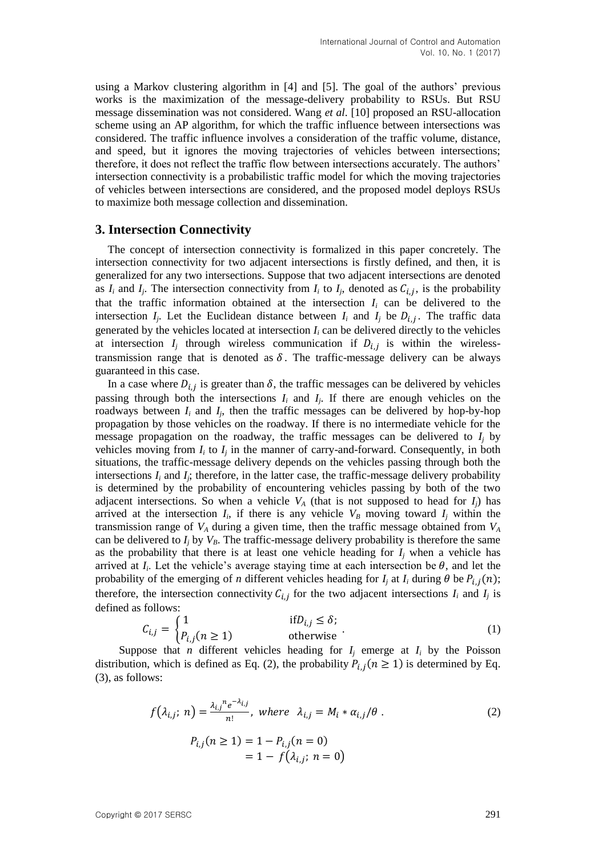using a Markov clustering algorithm in [\[4\]](#page-9-1) and [\[5\].](#page-9-2) The goal of the authors' previous works is the maximization of the message-delivery probability to RSUs. But RSU message dissemination was not considered. Wang *et al*. [\[10\]](#page-10-3) proposed an RSU-allocation scheme using an AP algorithm, for which the traffic influence between intersections was considered. The traffic influence involves a consideration of the traffic volume, distance, and speed, but it ignores the moving trajectories of vehicles between intersections; therefore, it does not reflect the traffic flow between intersections accurately. The authors' intersection connectivity is a probabilistic traffic model for which the moving trajectories of vehicles between intersections are considered, and the proposed model deploys RSUs to maximize both message collection and dissemination.

## **3. Intersection Connectivity**

The concept of intersection connectivity is formalized in this paper concretely. The intersection connectivity for two adjacent intersections is firstly defined, and then, it is generalized for any two intersections. Suppose that two adjacent intersections are denoted as  $I_i$  and  $I_j$ . The intersection connectivity from  $I_i$  to  $I_j$ , denoted as  $C_{i,j}$ , is the probability that the traffic information obtained at the intersection  $I_i$  can be delivered to the intersection  $I_j$ . Let the Euclidean distance between  $I_i$  and  $I_j$  be  $D_{i,j}$ . The traffic data generated by the vehicles located at intersection  $I_i$  can be delivered directly to the vehicles at intersection  $I_j$  through wireless communication if  $D_{i,j}$  is within the wirelesstransmission range that is denoted as  $\delta$ . The traffic-message delivery can be always guaranteed in this case.

In a case where  $D_{i,i}$  is greater than  $\delta$ , the traffic messages can be delivered by vehicles passing through both the intersections  $I_i$  and  $I_j$ . If there are enough vehicles on the roadways between  $I_i$  and  $I_j$ , then the traffic messages can be delivered by hop-by-hop propagation by those vehicles on the roadway. If there is no intermediate vehicle for the message propagation on the roadway, the traffic messages can be delivered to  $I_i$  by vehicles moving from  $I_i$  to  $I_j$  in the manner of carry-and-forward. Consequently, in both situations, the traffic-message delivery depends on the vehicles passing through both the intersections  $I_i$  and  $I_j$ ; therefore, in the latter case, the traffic-message delivery probability is determined by the probability of encountering vehicles passing by both of the two adjacent intersections. So when a vehicle  $V_A$  (that is not supposed to head for  $I_i$ ) has arrived at the intersection  $I_i$ , if there is any vehicle  $V_B$  moving toward  $I_j$  within the transmission range of *V<sup>A</sup>* during a given time, then the traffic message obtained from *V<sup>A</sup>* can be delivered to  $I_i$  by  $V_B$ . The traffic-message delivery probability is therefore the same as the probability that there is at least one vehicle heading for  $I_i$  when a vehicle has arrived at  $I_i$ . Let the vehicle's average staying time at each intersection be  $\theta$ , and let the probability of the emerging of *n* different vehicles heading for  $I_j$  at  $I_i$  during  $\theta$  be  $P_{i,j}(n)$ ; therefore, the intersection connectivity  $C_{i,j}$  for the two adjacent intersections  $I_i$  and  $I_j$  is defined as follows:

$$
C_{i,j} = \begin{cases} 1 & \text{if } D_{i,j} \le \delta; \\ P_{i,j}(n \ge 1) & \text{otherwise} \end{cases}
$$
 (1)

Suppose that *n* different vehicles heading for  $I_i$  emerge at  $I_i$  by the Poisson distribution, which is defined as Eq. (2), the probability  $P_{i,i}(n \ge 1)$  is determined by Eq. (3), as follows:

$$
f(\lambda_{i,j}; n) = \frac{\lambda_{i,j}^{n} e^{-\lambda_{i,j}}}{n!}, \text{ where } \lambda_{i,j} = M_i * \alpha_{i,j}/\theta.
$$
  
\n
$$
P_{i,j}(n \ge 1) = 1 - P_{i,j}(n = 0)
$$
  
\n
$$
= 1 - f(\lambda_{i,j}; n = 0)
$$
 (2)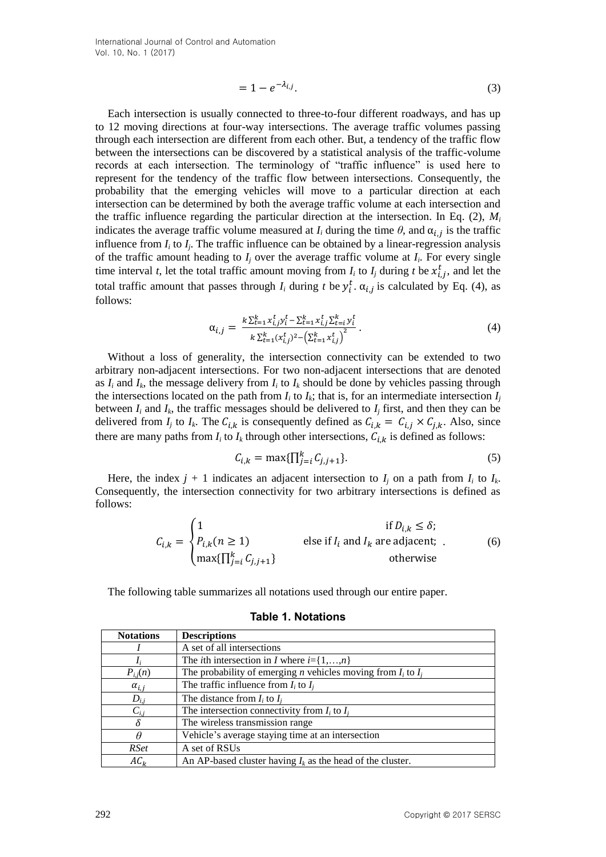$$
=1-e^{-\lambda_{i,j}}.\tag{3}
$$

Each intersection is usually connected to three-to-four different roadways, and has up to 12 moving directions at four-way intersections. The average traffic volumes passing through each intersection are different from each other. But, a tendency of the traffic flow between the intersections can be discovered by a statistical analysis of the traffic-volume records at each intersection. The terminology of "traffic influence" is used here to represent for the tendency of the traffic flow between intersections. Consequently, the probability that the emerging vehicles will move to a particular direction at each intersection can be determined by both the average traffic volume at each intersection and the traffic influence regarding the particular direction at the intersection. In Eq. (2),  $M_i$ indicates the average traffic volume measured at  $I_i$  during the time  $\theta$ , and  $\alpha_{i,j}$  is the traffic influence from  $I_i$  to  $I_j$ . The traffic influence can be obtained by a linear-regression analysis of the traffic amount heading to  $I_j$  over the average traffic volume at  $I_i$ . For every single time interval *t*, let the total traffic amount moving from  $I_i$  to  $I_j$  during *t* be  $x_{i,j}^t$ , and let the total traffic amount that passes through  $I_i$  during  $t$  be  $y_i^t$ .  $\alpha_{i,j}$  is calculated by Eq. (4), as follows:

$$
\alpha_{i,j} = \frac{k \sum_{t=1}^{k} x_{i,j}^{t} y_i^t - \sum_{t=1}^{k} x_{i,j}^{t} \sum_{t=i}^{k} y_i^t}{k \sum_{t=1}^{k} (x_{i,j}^{t})^2 - (\sum_{t=1}^{k} x_{i,j}^{t})^2}.
$$
\n(4)

Without a loss of generality, the intersection connectivity can be extended to two arbitrary non-adjacent intersections. For two non-adjacent intersections that are denoted as  $I_i$  and  $I_k$ , the message delivery from  $I_i$  to  $I_k$  should be done by vehicles passing through the intersections located on the path from  $I_i$  to  $I_k$ ; that is, for an intermediate intersection  $I_j$ between  $I_i$  and  $I_k$ , the traffic messages should be delivered to  $I_j$  first, and then they can be delivered from  $I_j$  to  $I_k$ . The  $C_{i,k}$  is consequently defined as  $C_{i,k} = C_{i,j} \times C_{j,k}$ . Also, since there are many paths from  $I_i$  to  $I_k$  through other intersections,  $C_{i,k}$  is defined as follows:

$$
C_{i,k} = \max\{\prod_{j=i}^{k} C_{j,j+1}\}.
$$
 (5)

Here, the index  $j + 1$  indicates an adjacent intersection to  $I_j$  on a path from  $I_i$  to  $I_k$ . Consequently, the intersection connectivity for two arbitrary intersections is defined as follows:

$$
C_{i,k} = \begin{cases} 1 & \text{if } D_{i,k} \le \delta; \\ P_{i,k}(n \ge 1) & \text{else if } I_i \text{ and } I_k \text{ are adjacent;} \\ \max\{\prod_{j=i}^k C_{j,j+1}\} & \text{otherwise} \end{cases}
$$
(6)

The following table summarizes all notations used through our entire paper.

| <b>Notations</b> | <b>Descriptions</b>                                                      |
|------------------|--------------------------------------------------------------------------|
|                  | A set of all intersections                                               |
|                  | The <i>i</i> th intersection in <i>I</i> where $i = \{1, , n\}$          |
| $P_{i,j}(n)$     | The probability of emerging <i>n</i> vehicles moving from $I_i$ to $I_i$ |
| $\alpha_{i,j}$   | The traffic influence from $I_i$ to $I_i$                                |
| $D_{i,j}$        | The distance from $I_i$ to $I_i$                                         |
| $C_{i,j}$        | The intersection connectivity from $I_i$ to $I_i$                        |
|                  | The wireless transmission range                                          |
| θ                | Vehicle's average staying time at an intersection                        |
| <i>RSet</i>      | A set of RSUs                                                            |
| $AC_k$           | An AP-based cluster having $I_k$ as the head of the cluster.             |

**Table 1. Notations**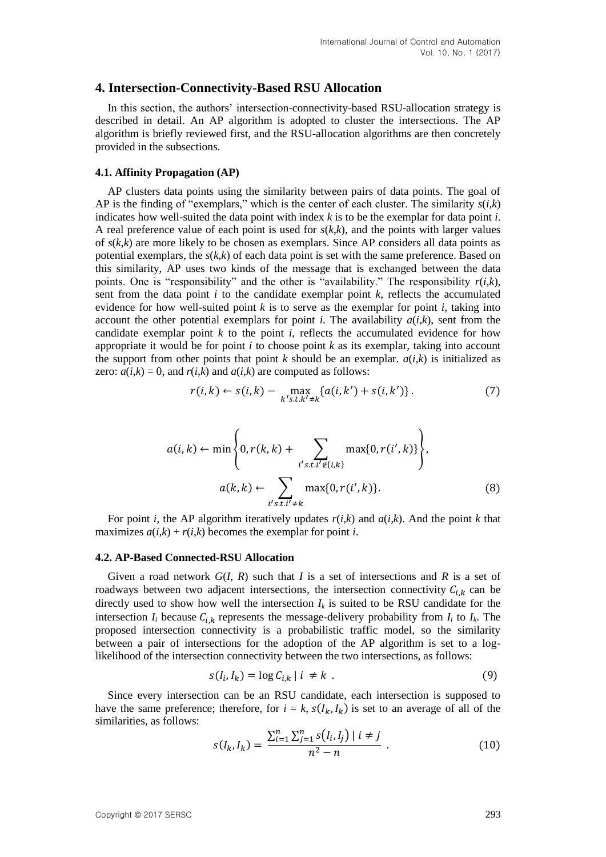### **4. Intersection-Connectivity-Based RSU Allocation**

In this section, the authors' intersection-connectivity-based RSU-allocation strategy is described in detail. An AP algorithm is adopted to cluster the intersections. The AP algorithm is briefly reviewed first, and the RSU-allocation algorithms are then concretely provided in the subsections.

#### **4.1. Affinity Propagation (AP)**

AP clusters data points using the similarity between pairs of data points. The goal of AP is the finding of "exemplars," which is the center of each cluster. The similarity  $s(i,k)$ indicates how well-suited the data point with index *k* is to be the exemplar for data point *i*. A real preference value of each point is used for  $s(k, k)$ , and the points with larger values of *s*(*k*,*k*) are more likely to be chosen as exemplars. Since AP considers all data points as potential exemplars, the *s*(*k*,*k*) of each data point is set with the same preference. Based on this similarity, AP uses two kinds of the message that is exchanged between the data points. One is "responsibility" and the other is "availability." The responsibility  $r(i,k)$ , sent from the data point *i* to the candidate exemplar point *k*, reflects the accumulated evidence for how well-suited point  $k$  is to serve as the exemplar for point  $i$ , taking into account the other potential exemplars for point *i*. The availability  $a(i,k)$ , sent from the candidate exemplar point *k* to the point *i*, reflects the accumulated evidence for how appropriate it would be for point *i* to choose point *k* as its exemplar, taking into account the support from other points that point  $k$  should be an exemplar.  $a(i,k)$  is initialized as zero:  $a(i,k) = 0$ , and  $r(i,k)$  and  $a(i,k)$  are computed as follows:

$$
r(i,k) \leftarrow s(i,k) - \max_{k' s.t. k' \neq k} \{a(i,k') + s(i,k')\}.
$$
 (7)

$$
a(i,k) \leftarrow \min\left\{0, r(k,k) + \sum_{i's.t.i' \notin \{i,k\}} \max\{0, r(i',k)\}\right\},
$$

$$
a(k,k) \leftarrow \sum_{i's.t.i' \neq k} \max\{0, r(i',k)\}.
$$
 (8)

For point *i*, the AP algorithm iteratively updates  $r(i,k)$  and  $a(i,k)$ . And the point *k* that maximizes  $a(i,k) + r(i,k)$  becomes the exemplar for point *i*.

#### **4.2. AP-Based Connected-RSU Allocation**

Given a road network *G*(*I*, *R*) such that *I* is a set of intersections and *R* is a set of roadways between two adjacent intersections, the intersection connectivity  $C_{i,k}$  can be directly used to show how well the intersection  $I_k$  is suited to be RSU candidate for the intersection  $I_i$  because  $C_{i,k}$  represents the message-delivery probability from  $I_i$  to  $I_k$ . The proposed intersection connectivity is a probabilistic traffic model, so the similarity between a pair of intersections for the adoption of the AP algorithm is set to a loglikelihood of the intersection connectivity between the two intersections, as follows:

$$
s(I_i, I_k) = \log C_{i,k} \mid i \neq k \tag{9}
$$

Since every intersection can be an RSU candidate, each intersection is supposed to have the same preference; therefore, for  $i = k$ ,  $s(I_k, I_k)$  is set to an average of all of the similarities, as follows:

$$
s(I_k, I_k) = \frac{\sum_{i=1}^n \sum_{j=1}^n s(I_i, I_j) \mid i \neq j}{n^2 - n} \tag{10}
$$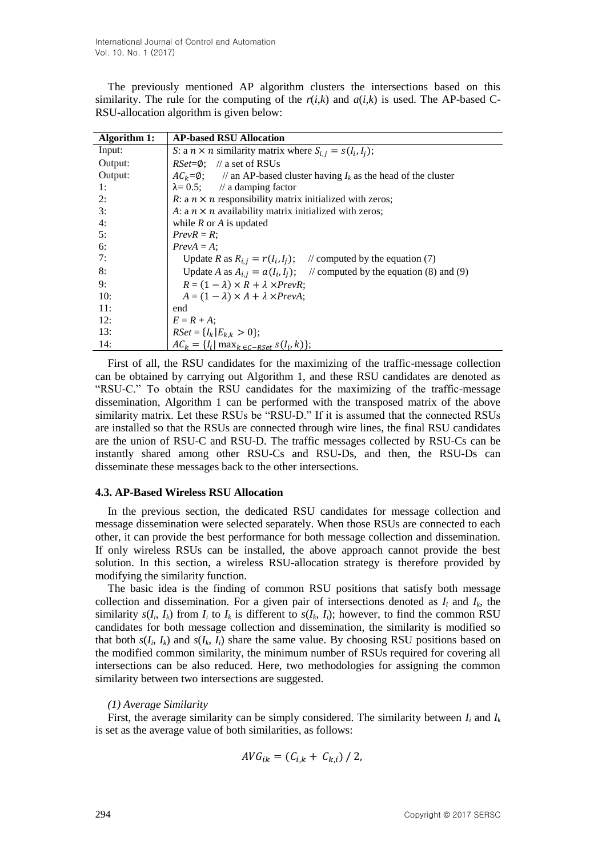The previously mentioned AP algorithm clusters the intersections based on this similarity. The rule for the computing of the  $r(i,k)$  and  $a(i,k)$  is used. The AP-based C-RSU-allocation algorithm is given below:

| Algorithm 1: | <b>AP-based RSU Allocation</b>                                                      |  |  |
|--------------|-------------------------------------------------------------------------------------|--|--|
| Input:       | S: a $n \times n$ similarity matrix where $S_{i,j} = s(I_i, I_j)$ ;                 |  |  |
| Output:      | $RSet = \emptyset$ : // a set of RSUs                                               |  |  |
| Output:      | $AC_k = \emptyset$ ; // an AP-based cluster having $I_k$ as the head of the cluster |  |  |
| 1:           | $\lambda = 0.5$ ; // a damping factor                                               |  |  |
| 2:           | R: a $n \times n$ responsibility matrix initialized with zeros;                     |  |  |
| 3:           | A: a $n \times n$ availability matrix initialized with zeros;                       |  |  |
| 4:           | while $R$ or $A$ is updated                                                         |  |  |
| 5:           | $PrevR = R$ ;                                                                       |  |  |
| 6:           | $PrevA = A$ ;                                                                       |  |  |
| 7:           | $\frac{1}{2}$ computed by the equation (7)<br>Update R as $R_{i,j} = r(I_i, I_j)$ ; |  |  |
| 8:           | Update A as $A_{i,j} = a(I_i, I_j)$ ; // computed by the equation (8) and (9)       |  |  |
| 9:           | $R = (1 - \lambda) \times R + \lambda \times PrevR$ ;                               |  |  |
| 10:          | $A = (1 - \lambda) \times A + \lambda \times PrevA$ ;                               |  |  |
| 11:          | end                                                                                 |  |  |
| 12:          | $E = R + A$ ;                                                                       |  |  |
| 13:          | $RSet = \{I_k   E_{k,k} > 0\};$                                                     |  |  |
| 14:          | $AC_k = \{I_i   \max_{k \in C- RSet} s(I_i, k)\};$                                  |  |  |

First of all, the RSU candidates for the maximizing of the traffic-message collection can be obtained by carrying out Algorithm 1, and these RSU candidates are denoted as "RSU-C." To obtain the RSU candidates for the maximizing of the traffic-message dissemination, Algorithm 1 can be performed with the transposed matrix of the above similarity matrix. Let these RSUs be "RSU-D." If it is assumed that the connected RSUs are installed so that the RSUs are connected through wire lines, the final RSU candidates are the union of RSU-C and RSU-D. The traffic messages collected by RSU-Cs can be instantly shared among other RSU-Cs and RSU-Ds, and then, the RSU-Ds can disseminate these messages back to the other intersections.

#### **4.3. AP-Based Wireless RSU Allocation**

In the previous section, the dedicated RSU candidates for message collection and message dissemination were selected separately. When those RSUs are connected to each other, it can provide the best performance for both message collection and dissemination. If only wireless RSUs can be installed, the above approach cannot provide the best solution. In this section, a wireless RSU-allocation strategy is therefore provided by modifying the similarity function.

The basic idea is the finding of common RSU positions that satisfy both message collection and dissemination. For a given pair of intersections denoted as  $I_i$  and  $I_k$ , the similarity  $s(I_i, I_k)$  from  $I_i$  to  $I_k$  is different to  $s(I_k, I_i)$ ; however, to find the common RSU candidates for both message collection and dissemination, the similarity is modified so that both  $s(I_i, I_k)$  and  $s(I_k, I_i)$  share the same value. By choosing RSU positions based on the modified common similarity, the minimum number of RSUs required for covering all intersections can be also reduced. Here, two methodologies for assigning the common similarity between two intersections are suggested.

#### *(1) Average Similarity*

First, the average similarity can be simply considered. The similarity between  $I_i$  and  $I_k$ is set as the average value of both similarities, as follows:

$$
AVG_{ik} = (C_{i,k} + C_{k,i}) / 2,
$$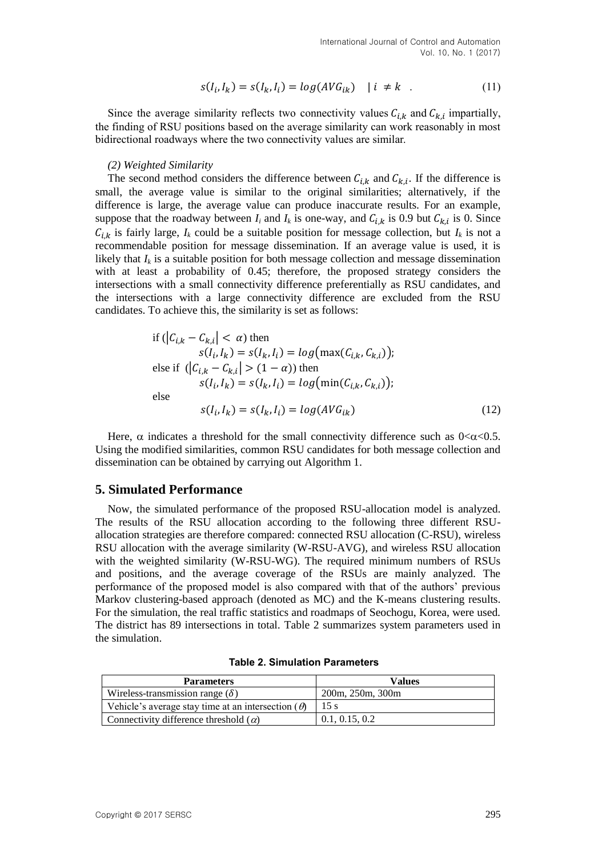$$
s(I_i, I_k) = s(I_k, I_i) = \log(AVG_{ik}) \quad |i \neq k \quad . \tag{11}
$$

Since the average similarity reflects two connectivity values  $C_{i,k}$  and  $C_{k,i}$  impartially, the finding of RSU positions based on the average similarity can work reasonably in most bidirectional roadways where the two connectivity values are similar.

#### *(2) Weighted Similarity*

The second method considers the difference between  $C_{i,k}$  and  $C_{k,i}$ . If the difference is small, the average value is similar to the original similarities; alternatively, if the difference is large, the average value can produce inaccurate results. For an example, suppose that the roadway between  $I_i$  and  $I_k$  is one-way, and  $C_{i,k}$  is 0.9 but  $C_{k,i}$  is 0. Since  $C_{i,k}$  is fairly large,  $I_k$  could be a suitable position for message collection, but  $I_k$  is not a recommendable position for message dissemination. If an average value is used, it is likely that  $I_k$  is a suitable position for both message collection and message dissemination with at least a probability of 0.45; therefore, the proposed strategy considers the intersections with a small connectivity difference preferentially as RSU candidates, and the intersections with a large connectivity difference are excluded from the RSU candidates. To achieve this, the similarity is set as follows:

if 
$$
(|C_{i,k} - C_{k,i}| < \alpha)
$$
 then  
\n
$$
s(I_i, I_k) = s(I_k, I_i) = log(max(C_{i,k}, C_{k,i}));
$$
\nelse if  $(|C_{i,k} - C_{k,i}| > (1 - \alpha))$  then  
\n
$$
s(I_i, I_k) = s(I_k, I_i) = log(min(C_{i,k}, C_{k,i}));
$$
\nelse  
\n
$$
s(I_i, I_k) = s(I_k, I_i) = log(AVG_{ik})
$$
\n(12)

Here,  $\alpha$  indicates a threshold for the small connectivity difference such as  $0<\alpha<0.5$ . Using the modified similarities, common RSU candidates for both message collection and dissemination can be obtained by carrying out Algorithm 1.

## **5. Simulated Performance**

Now, the simulated performance of the proposed RSU-allocation model is analyzed. The results of the RSU allocation according to the following three different RSUallocation strategies are therefore compared: connected RSU allocation (C-RSU), wireless RSU allocation with the average similarity (W-RSU-AVG), and wireless RSU allocation with the weighted similarity (W-RSU-WG). The required minimum numbers of RSUs and positions, and the average coverage of the RSUs are mainly analyzed. The performance of the proposed model is also compared with that of the authors' previous Markov clustering-based approach (denoted as MC) and the K-means clustering results. For the simulation, the real traffic statistics and roadmaps of Seochogu, Korea, were used. The district has 89 intersections in total. Table 2 summarizes system parameters used in the simulation.

| <b>Parameters</b>                                         | Values           |
|-----------------------------------------------------------|------------------|
| Wireless-transmission range $(\delta)$                    | 200m, 250m, 300m |
| Vehicle's average stay time at an intersection $(\theta)$ | 15 s             |
| Connectivity difference threshold $(\alpha)$              | 0.1, 0.15, 0.2   |

**Table 2. Simulation Parameters**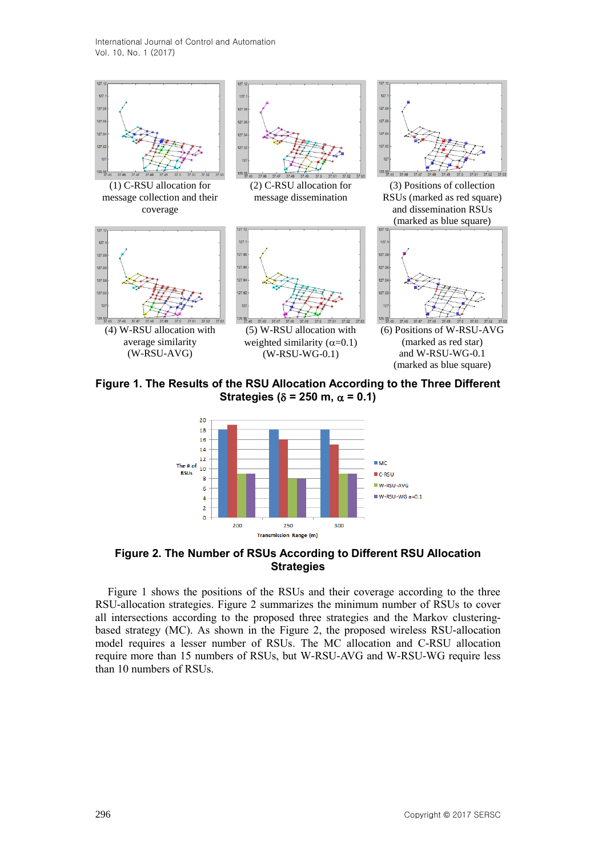

**Figure 1. The Results of the RSU Allocation According to the Three Different Strategies** ( $\delta$  = 250 m,  $\alpha$  = 0.1)



**Figure 2. The Number of RSUs According to Different RSU Allocation Strategies**

Figure 1 shows the positions of the RSUs and their coverage according to the three RSU-allocation strategies. Figure 2 summarizes the minimum number of RSUs to cover all intersections according to the proposed three strategies and the Markov clusteringbased strategy (MC). As shown in the Figure 2, the proposed wireless RSU-allocation model requires a lesser number of RSUs. The MC allocation and C-RSU allocation require more than 15 numbers of RSUs, but W-RSU-AVG and W-RSU-WG require less than 10 numbers of RSUs.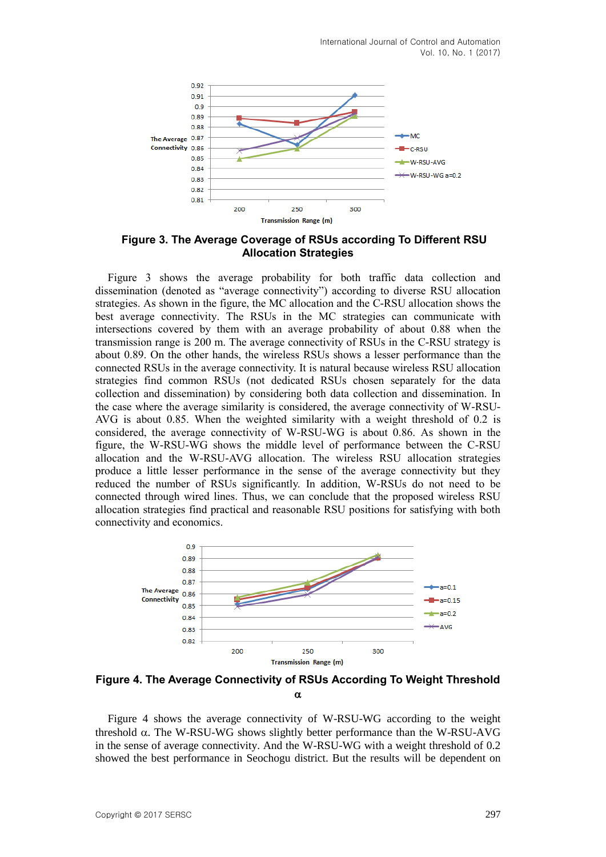

**Figure 3. The Average Coverage of RSUs according To Different RSU Allocation Strategies**

Figure 3 shows the average probability for both traffic data collection and dissemination (denoted as "average connectivity") according to diverse RSU allocation strategies. As shown in the figure, the MC allocation and the C-RSU allocation shows the best average connectivity. The RSUs in the MC strategies can communicate with intersections covered by them with an average probability of about 0.88 when the transmission range is 200 m. The average connectivity of RSUs in the C-RSU strategy is about 0.89. On the other hands, the wireless RSUs shows a lesser performance than the connected RSUs in the average connectivity. It is natural because wireless RSU allocation strategies find common RSUs (not dedicated RSUs chosen separately for the data collection and dissemination) by considering both data collection and dissemination. In the case where the average similarity is considered, the average connectivity of W-RSU-AVG is about 0.85. When the weighted similarity with a weight threshold of 0.2 is considered, the average connectivity of W-RSU-WG is about 0.86. As shown in the figure, the W-RSU-WG shows the middle level of performance between the C-RSU allocation and the W-RSU-AVG allocation. The wireless RSU allocation strategies produce a little lesser performance in the sense of the average connectivity but they reduced the number of RSUs significantly. In addition, W-RSUs do not need to be connected through wired lines. Thus, we can conclude that the proposed wireless RSU allocation strategies find practical and reasonable RSU positions for satisfying with both connectivity and economics.



**Figure 4. The Average Connectivity of RSUs According To Weight Threshold**   $\alpha$ 

Figure 4 shows the average connectivity of W-RSU-WG according to the weight threshold  $\alpha$ . The W-RSU-WG shows slightly better performance than the W-RSU-AVG in the sense of average connectivity. And the W-RSU-WG with a weight threshold of 0.2 showed the best performance in Seochogu district. But the results will be dependent on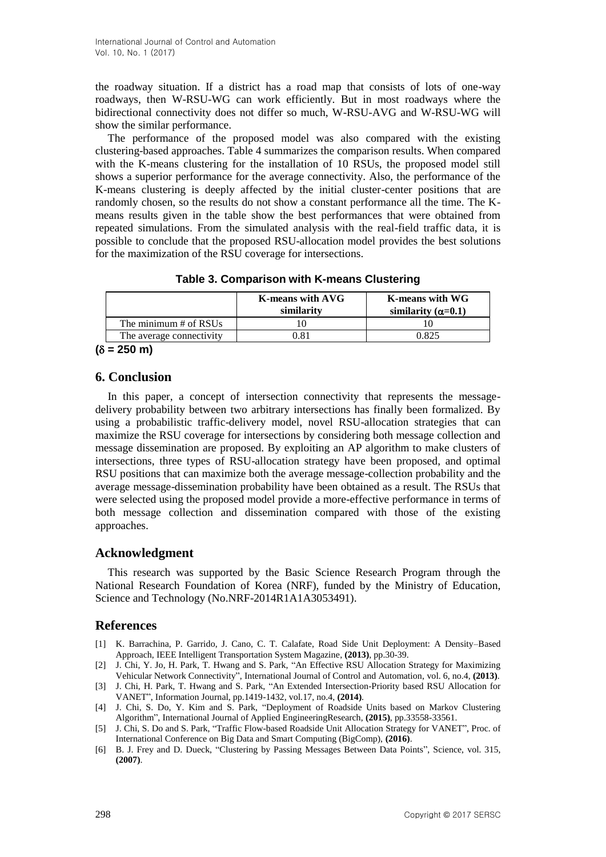the roadway situation. If a district has a road map that consists of lots of one-way roadways, then W-RSU-WG can work efficiently. But in most roadways where the bidirectional connectivity does not differ so much, W-RSU-AVG and W-RSU-WG will show the similar performance.

The performance of the proposed model was also compared with the existing clustering-based approaches. Table 4 summarizes the comparison results. When compared with the K-means clustering for the installation of 10 RSUs, the proposed model still shows a superior performance for the average connectivity. Also, the performance of the K-means clustering is deeply affected by the initial cluster-center positions that are randomly chosen, so the results do not show a constant performance all the time. The Kmeans results given in the table show the best performances that were obtained from repeated simulations. From the simulated analysis with the real-field traffic data, it is possible to conclude that the proposed RSU-allocation model provides the best solutions for the maximization of the RSU coverage for intersections.

|                          | <b>K-means with AVG</b><br>similarity | K-means with WG<br>similarity ( $\alpha$ =0.1) |
|--------------------------|---------------------------------------|------------------------------------------------|
| The minimum # of RSUs    |                                       |                                                |
| The average connectivity |                                       |                                                |

 $(\delta = 250 \text{ m})$ 

# **6. Conclusion**

In this paper, a concept of intersection connectivity that represents the messagedelivery probability between two arbitrary intersections has finally been formalized. By using a probabilistic traffic-delivery model, novel RSU-allocation strategies that can maximize the RSU coverage for intersections by considering both message collection and message dissemination are proposed. By exploiting an AP algorithm to make clusters of intersections, three types of RSU-allocation strategy have been proposed, and optimal RSU positions that can maximize both the average message-collection probability and the average message-dissemination probability have been obtained as a result. The RSUs that were selected using the proposed model provide a more-effective performance in terms of both message collection and dissemination compared with those of the existing approaches.

## **Acknowledgment**

This research was supported by the Basic Science Research Program through the National Research Foundation of Korea (NRF), funded by the Ministry of Education, Science and Technology (No.NRF-2014R1A1A3053491).

# **References**

- [1] K. Barrachina, P. Garrido, J. Cano, C. T. Calafate, Road Side Unit Deployment: A Density–Based Approach, IEEE Intelligent Transportation System Magazine, **(2013)**, pp.30-39.
- <span id="page-9-0"></span>[2] J. Chi, Y. Jo, H. Park, T. Hwang and S. Park, "An Effective RSU Allocation Strategy for Maximizing Vehicular Network Connectivity", International Journal of Control and Automation, vol. 6, no.4, **(2013)**.
- [3] J. Chi, H. Park, T. Hwang and S. Park, "An Extended Intersection-Priority based RSU Allocation for VANET", Information Journal, pp.1419-1432, vol.17, no.4, **(2014)**.
- <span id="page-9-1"></span>[4] J. Chi, S. Do, Y. Kim and S. Park, "Deployment of Roadside Units based on Markov Clustering Algorithm", International Journal of Applied EngineeringResearch, **(2015)**, pp.33558-33561.
- <span id="page-9-2"></span>[5] J. Chi, S. Do and S. Park, "Traffic Flow-based Roadside Unit Allocation Strategy for VANET", Proc. of International Conference on Big Data and Smart Computing (BigComp), **(2016)**.
- [6] B. J. Frey and D. Dueck, "Clustering by Passing Messages Between Data Points", Science, vol. 315, **(2007)**.